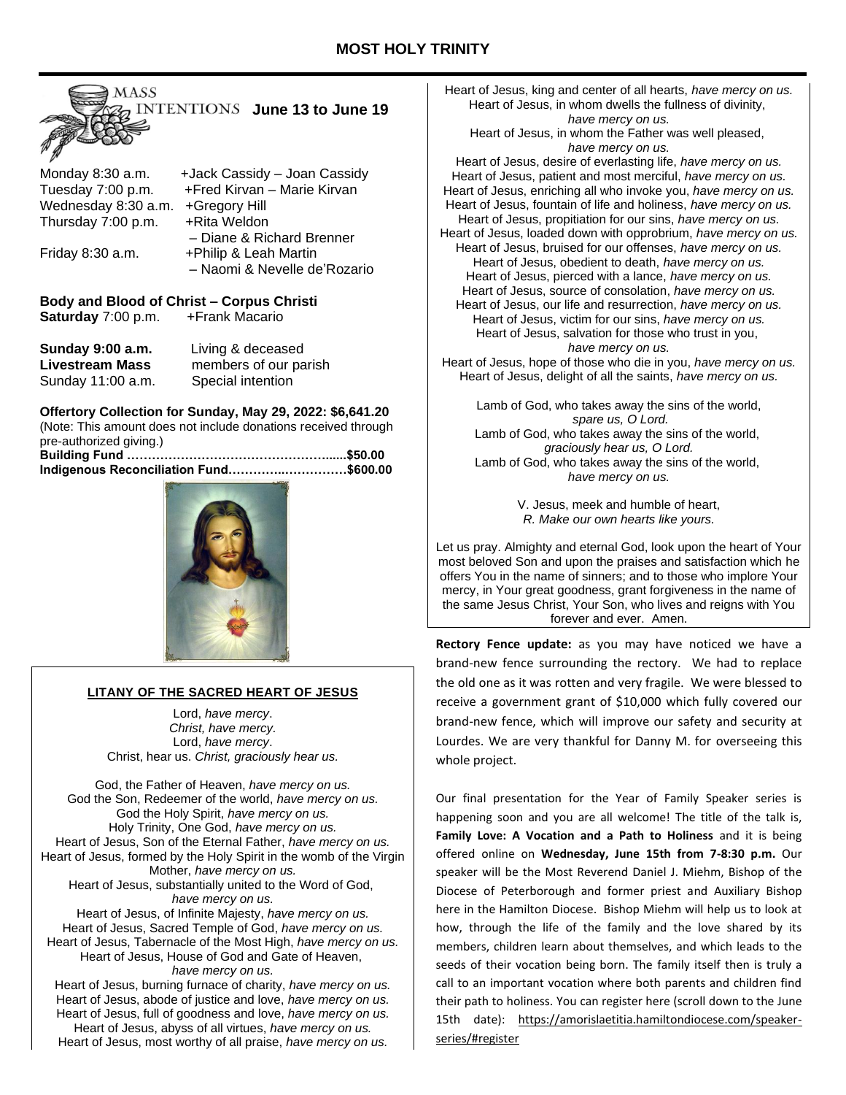

|                     | TUQUK OQUUQY YOQIT OQUUQY    |
|---------------------|------------------------------|
| Tuesday 7:00 p.m.   | +Fred Kirvan - Marie Kirvan  |
| Wednesday 8:30 a.m. | +Gregory Hill                |
| Thursday 7:00 p.m.  | +Rita Weldon                 |
|                     | - Diane & Richard Brenner    |
| Friday 8:30 a.m.    | +Philip & Leah Martin        |
|                     | - Naomi & Nevelle de'Rozario |
|                     |                              |

# **Body and Blood of Christ – Corpus Christi Saturday** 7:00 p.m. + Frank Macario

| <b>Sunday 9:00 a.m.</b> | Living & deceased     |
|-------------------------|-----------------------|
| <b>Livestream Mass</b>  | members of our parish |
| Sunday 11:00 a.m.       | Special intention     |

**Offertory Collection for Sunday, May 29, 2022: \$6,641.20** (Note: This amount does not include donations received through pre-authorized giving.) **Building Fund …………………………………………......\$50.00**

| Indigenous Reconciliation Fund\$600.00 |  |
|----------------------------------------|--|
|                                        |  |



## **LITANY OF THE SACRED HEART OF JESUS**

Lord, *have mercy*. *Christ, have mercy.* Lord, *have mercy*. Christ, hear us. *Christ, graciously hear us.*

God, the Father of Heaven, *have mercy on us.* God the Son, Redeemer of the world, *have mercy on us.* God the Holy Spirit, *have mercy on us.* Holy Trinity, One God, *have mercy on us.* Heart of Jesus, Son of the Eternal Father, *have mercy on us.* Heart of Jesus, formed by the Holy Spirit in the womb of the Virgin Mother, *have mercy on us.* Heart of Jesus, substantially united to the Word of God, *have mercy on us.* Heart of Jesus, of Infinite Majesty, *have mercy on us.* Heart of Jesus, Sacred Temple of God, *have mercy on us.* Heart of Jesus, Tabernacle of the Most High, *have mercy on us.* Heart of Jesus, House of God and Gate of Heaven, *have mercy on us.* Heart of Jesus, burning furnace of charity, *have mercy on us.* Heart of Jesus, abode of justice and love, *have mercy on us.*

Heart of Jesus, full of goodness and love, *have mercy on us.* Heart of Jesus, abyss of all virtues, *have mercy on us.* Heart of Jesus, most worthy of all praise, *have mercy on us.*

Heart of Jesus, king and center of all hearts, *have mercy on us.* Heart of Jesus, in whom dwells the fullness of divinity, *have mercy on us.* Heart of Jesus, in whom the Father was well pleased, *have mercy on us.* Heart of Jesus, desire of everlasting life, *have mercy on us.* Heart of Jesus, patient and most merciful, *have mercy on us.* Heart of Jesus, enriching all who invoke you, *have mercy on us.* Heart of Jesus, fountain of life and holiness, *have mercy on us.* Heart of Jesus, propitiation for our sins, *have mercy on us.* Heart of Jesus, loaded down with opprobrium, *have mercy on us.* Heart of Jesus, bruised for our offenses, *have mercy on us.* Heart of Jesus, obedient to death, *have mercy on us.* Heart of Jesus, pierced with a lance, *have mercy on us.* Heart of Jesus, source of consolation, *have mercy on us.* Heart of Jesus, our life and resurrection, *have mercy on us.* Heart of Jesus, victim for our sins, *have mercy on us.* Heart of Jesus, salvation for those who trust in you, *have mercy on us.* Heart of Jesus, hope of those who die in you, *have mercy on us.* Heart of Jesus, delight of all the saints, *have mercy on us.*

Lamb of God, who takes away the sins of the world, *spare us, O Lord.* Lamb of God, who takes away the sins of the world, *graciously hear us, O Lord.* Lamb of God, who takes away the sins of the world, *have mercy on us.*

> V. Jesus, meek and humble of heart, *R. Make our own hearts like yours.*

Let us pray. Almighty and eternal God, look upon the heart of Your most beloved Son and upon the praises and satisfaction which he offers You in the name of sinners; and to those who implore Your mercy, in Your great goodness, grant forgiveness in the name of the same Jesus Christ, Your Son, who lives and reigns with You forever and ever. Amen.

**Rectory Fence update:** as you may have noticed we have a brand-new fence surrounding the rectory. We had to replace the old one as it was rotten and very fragile. We were blessed to receive a government grant of \$10,000 which fully covered our brand-new fence, which will improve our safety and security at Lourdes. We are very thankful for Danny M. for overseeing this whole project.

Our final presentation for the Year of Family Speaker series is happening soon and you are all welcome! The title of the talk is, **Family Love: A Vocation and a Path to Holiness** and it is being offered online on **Wednesday, June 15th from 7-8:30 p.m.** Our speaker will be the Most Reverend Daniel J. Miehm, Bishop of the Diocese of Peterborough and former priest and Auxiliary Bishop here in the Hamilton Diocese. Bishop Miehm will help us to look at how, through the life of the family and the love shared by its members, children learn about themselves, and which leads to the seeds of their vocation being born. The family itself then is truly a call to an important vocation where both parents and children find their path to holiness. You can register here (scroll down to the June 15th date): https://amorislaetitia.hamiltondiocese.com/speakerseries/#register